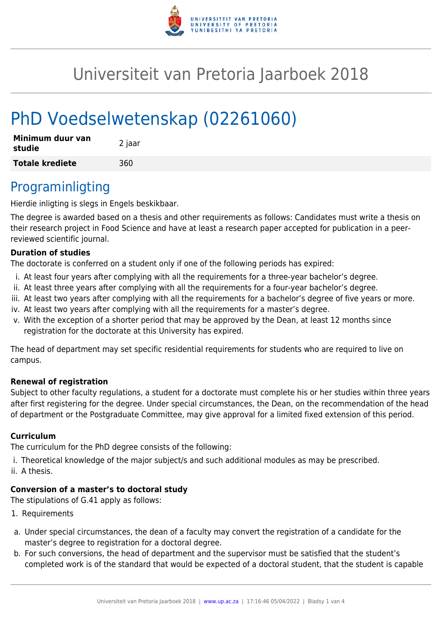

# Universiteit van Pretoria Jaarboek 2018

# PhD Voedselwetenskap (02261060)

| Minimum duur van<br>studie | 2 jaar |
|----------------------------|--------|
| <b>Totale krediete</b>     | 360    |

## Programinligting

Hierdie inligting is slegs in Engels beskikbaar.

The degree is awarded based on a thesis and other requirements as follows: Candidates must write a thesis on their research project in Food Science and have at least a research paper accepted for publication in a peerreviewed scientific journal.

#### **Duration of studies**

The doctorate is conferred on a student only if one of the following periods has expired:

- i. At least four years after complying with all the requirements for a three-year bachelor's degree.
- ii. At least three years after complying with all the requirements for a four-year bachelor's degree.
- iii. At least two years after complying with all the requirements for a bachelor's degree of five years or more.
- iv. At least two years after complying with all the requirements for a master's degree.
- v. With the exception of a shorter period that may be approved by the Dean, at least 12 months since registration for the doctorate at this University has expired.

The head of department may set specific residential requirements for students who are required to live on campus.

#### **Renewal of registration**

Subject to other faculty regulations, a student for a doctorate must complete his or her studies within three years after first registering for the degree. Under special circumstances, the Dean, on the recommendation of the head of department or the Postgraduate Committee, may give approval for a limited fixed extension of this period.

#### **Curriculum**

The curriculum for the PhD degree consists of the following:

i. Theoretical knowledge of the major subject/s and such additional modules as may be prescribed.

ii. A thesis.

### **Conversion of a master's to doctoral study**

The stipulations of G.41 apply as follows:

- 1. Requirements
- a. Under special circumstances, the dean of a faculty may convert the registration of a candidate for the master's degree to registration for a doctoral degree.
- b. For such conversions, the head of department and the supervisor must be satisfied that the student's completed work is of the standard that would be expected of a doctoral student, that the student is capable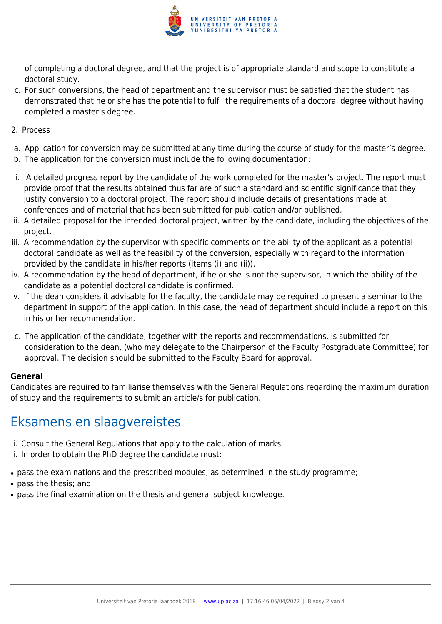

of completing a doctoral degree, and that the project is of appropriate standard and scope to constitute a doctoral study.

- c. For such conversions, the head of department and the supervisor must be satisfied that the student has demonstrated that he or she has the potential to fulfil the requirements of a doctoral degree without having completed a master's degree.
- 2. Process
- a. Application for conversion may be submitted at any time during the course of study for the master's degree.
- b. The application for the conversion must include the following documentation:
- i. A detailed progress report by the candidate of the work completed for the master's project. The report must provide proof that the results obtained thus far are of such a standard and scientific significance that they justify conversion to a doctoral project. The report should include details of presentations made at conferences and of material that has been submitted for publication and/or published.
- ii. A detailed proposal for the intended doctoral project, written by the candidate, including the objectives of the project.
- iii. A recommendation by the supervisor with specific comments on the ability of the applicant as a potential doctoral candidate as well as the feasibility of the conversion, especially with regard to the information provided by the candidate in his/her reports (items (i) and (ii)).
- iv. A recommendation by the head of department, if he or she is not the supervisor, in which the ability of the candidate as a potential doctoral candidate is confirmed.
- v. If the dean considers it advisable for the faculty, the candidate may be required to present a seminar to the department in support of the application. In this case, the head of department should include a report on this in his or her recommendation.
- c. The application of the candidate, together with the reports and recommendations, is submitted for consideration to the dean, (who may delegate to the Chairperson of the Faculty Postgraduate Committee) for approval. The decision should be submitted to the Faculty Board for approval.

#### **General**

Candidates are required to familiarise themselves with the General Regulations regarding the maximum duration of study and the requirements to submit an article/s for publication.

## Eksamens en slaagvereistes

- i. Consult the General Regulations that apply to the calculation of marks.
- ii. In order to obtain the PhD degree the candidate must:
- pass the examinations and the prescribed modules, as determined in the study programme;
- pass the thesis; and
- pass the final examination on the thesis and general subject knowledge.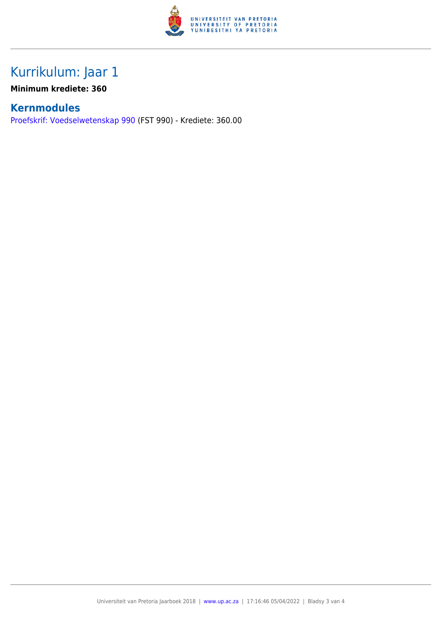

# Kurrikulum: Jaar 1

**Minimum krediete: 360**

### **Kernmodules**

[Proefskrif: Voedselwetenskap 990](https://www.up.ac.za/yearbooks/2018/modules/view/FST 990/lg/af) (FST 990) - Krediete: 360.00